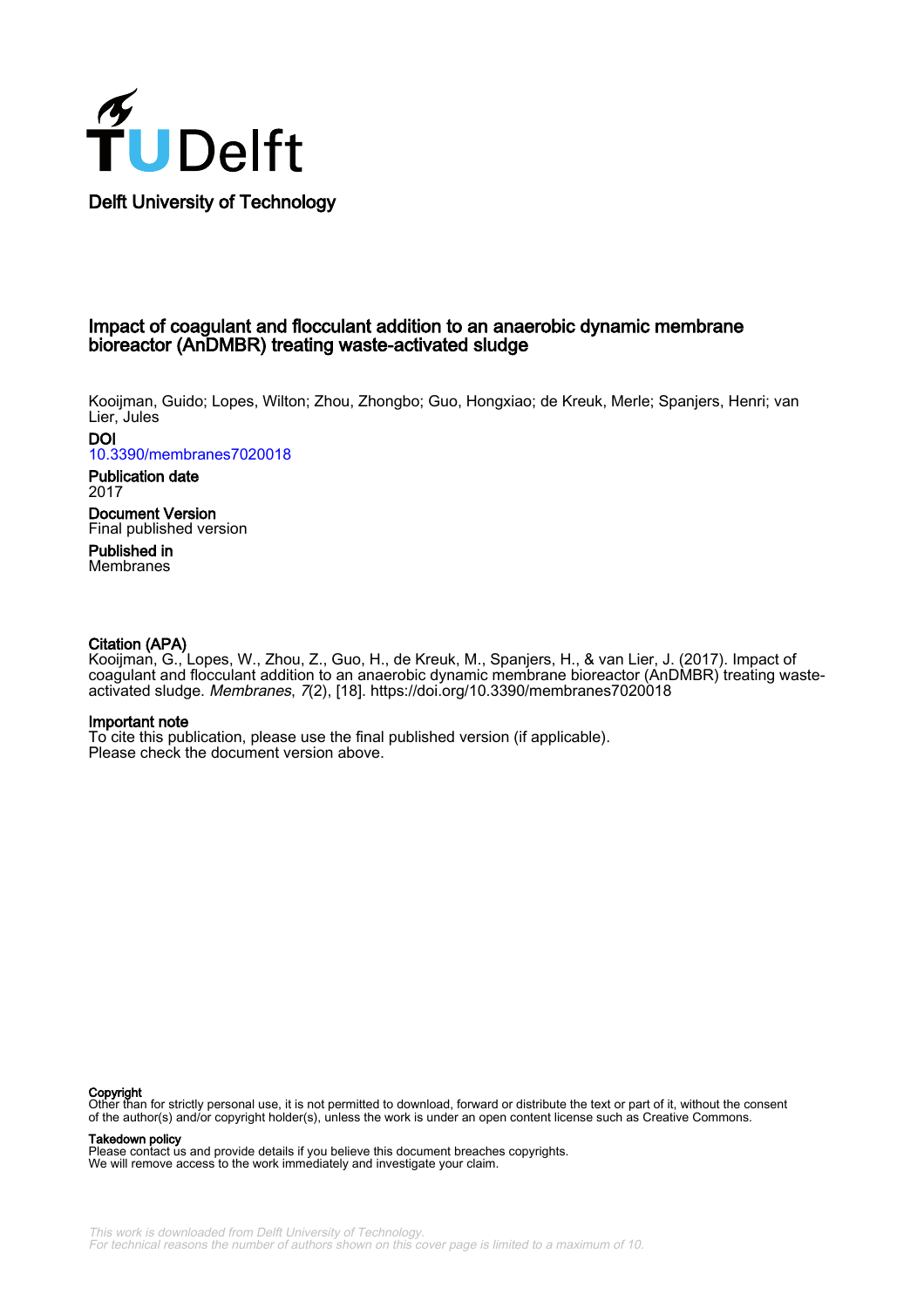

#### Impact of coagulant and flocculant addition to an anaerobic dynamic membrane bioreactor (AnDMBR) treating waste-activated sludge

Kooijman, Guido; Lopes, Wilton; Zhou, Zhongbo; Guo, Hongxiao; de Kreuk, Merle; Spanjers, Henri; van Lier, Jules

**DOI** [10.3390/membranes7020018](https://doi.org/10.3390/membranes7020018)

Publication date 2017 Document Version Final published version Published in

Membranes

#### Citation (APA)

Kooijman, G., Lopes, W., Zhou, Z., Guo, H., de Kreuk, M., Spanjers, H., & van Lier, J. (2017). Impact of coagulant and flocculant addition to an anaerobic dynamic membrane bioreactor (AnDMBR) treating wasteactivated sludge. Membranes, 7(2), [18]. <https://doi.org/10.3390/membranes7020018>

#### Important note

To cite this publication, please use the final published version (if applicable). Please check the document version above.

**Copyright**<br>Other than for strictly personal use, it is not permitted to download, forward or distribute the text or part of it, without the consent of the author(s) and/or copyright holder(s), unless the work is under an open content license such as Creative Commons.

Takedown policy

Please contact us and provide details if you believe this document breaches copyrights. We will remove access to the work immediately and investigate your claim.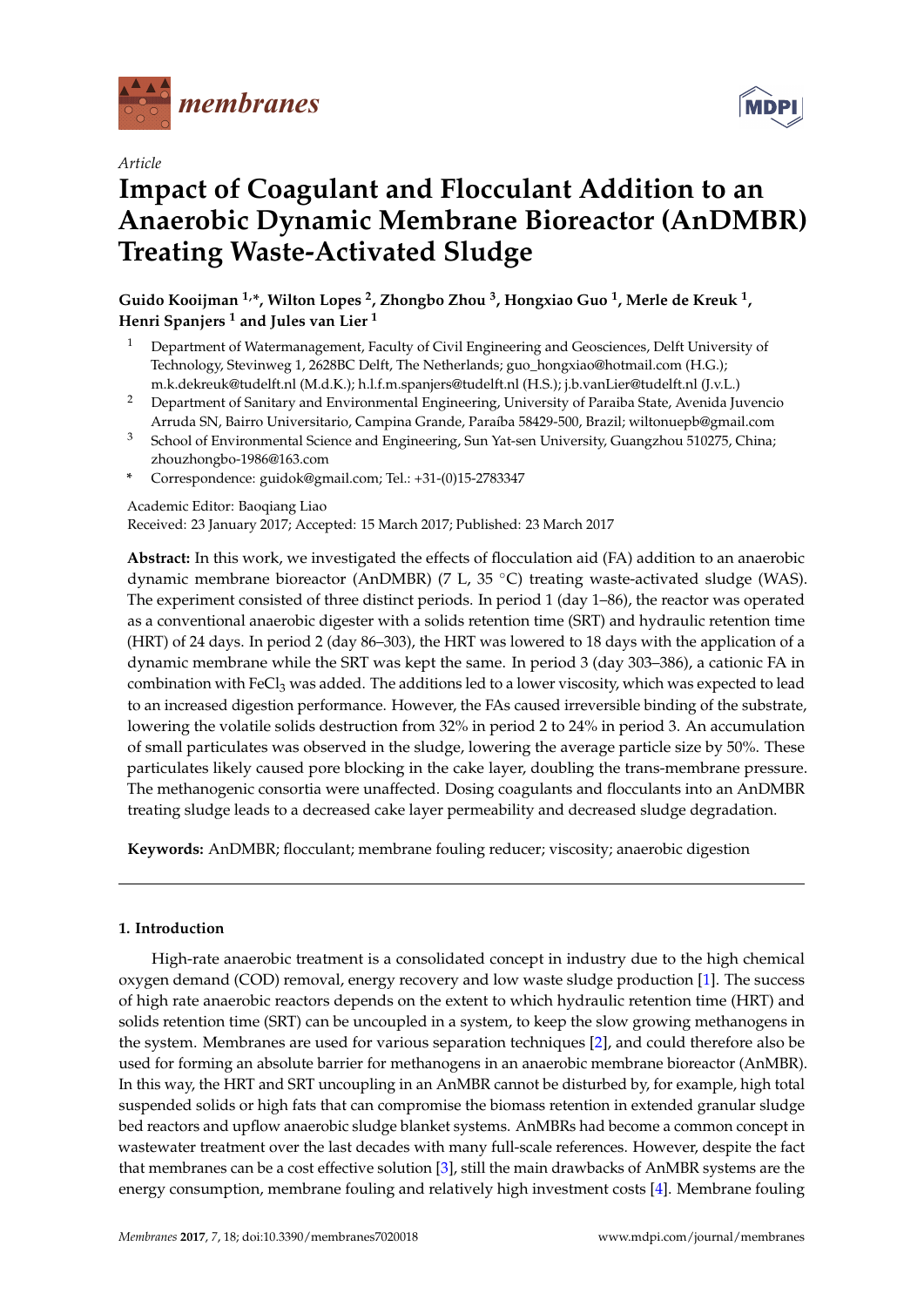

*Article*

# **Impact of Coagulant and Flocculant Addition to an Anaerobic Dynamic Membrane Bioreactor (AnDMBR) Treating Waste-Activated Sludge**

**Guido Kooijman 1,\*, Wilton Lopes <sup>2</sup> , Zhongbo Zhou <sup>3</sup> , Hongxiao Guo <sup>1</sup> , Merle de Kreuk <sup>1</sup> , Henri Spanjers <sup>1</sup> and Jules van Lier <sup>1</sup>**

- <sup>1</sup> Department of Watermanagement, Faculty of Civil Engineering and Geosciences, Delft University of Technology, Stevinweg 1, 2628BC Delft, The Netherlands; guo\_hongxiao@hotmail.com (H.G.); m.k.dekreuk@tudelft.nl (M.d.K.); h.l.f.m.spanjers@tudelft.nl (H.S.); j.b.vanLier@tudelft.nl (J.v.L.)
- <sup>2</sup> Department of Sanitary and Environmental Engineering, University of Paraiba State, Avenida Juvencio Arruda SN, Bairro Universitario, Campina Grande, Paraíba 58429-500, Brazil; wiltonuepb@gmail.com
- <sup>3</sup> School of Environmental Science and Engineering, Sun Yat-sen University, Guangzhou 510275, China; zhouzhongbo-1986@163.com
- **\*** Correspondence: guidok@gmail.com; Tel.: +31-(0)15-2783347

Academic Editor: Baoqiang Liao

Received: 23 January 2017; Accepted: 15 March 2017; Published: 23 March 2017

**Abstract:** In this work, we investigated the effects of flocculation aid (FA) addition to an anaerobic dynamic membrane bioreactor (AnDMBR) (7 L, 35 ◦C) treating waste-activated sludge (WAS). The experiment consisted of three distinct periods. In period 1 (day 1–86), the reactor was operated as a conventional anaerobic digester with a solids retention time (SRT) and hydraulic retention time (HRT) of 24 days. In period 2 (day 86–303), the HRT was lowered to 18 days with the application of a dynamic membrane while the SRT was kept the same. In period 3 (day 303–386), a cationic FA in combination with FeCl<sub>3</sub> was added. The additions led to a lower viscosity, which was expected to lead to an increased digestion performance. However, the FAs caused irreversible binding of the substrate, lowering the volatile solids destruction from 32% in period 2 to 24% in period 3. An accumulation of small particulates was observed in the sludge, lowering the average particle size by 50%. These particulates likely caused pore blocking in the cake layer, doubling the trans-membrane pressure. The methanogenic consortia were unaffected. Dosing coagulants and flocculants into an AnDMBR treating sludge leads to a decreased cake layer permeability and decreased sludge degradation.

**Keywords:** AnDMBR; flocculant; membrane fouling reducer; viscosity; anaerobic digestion

#### **1. Introduction**

High-rate anaerobic treatment is a consolidated concept in industry due to the high chemical oxygen demand (COD) removal, energy recovery and low waste sludge production [\[1\]](#page-10-0). The success of high rate anaerobic reactors depends on the extent to which hydraulic retention time (HRT) and solids retention time (SRT) can be uncoupled in a system, to keep the slow growing methanogens in the system. Membranes are used for various separation techniques [\[2\]](#page-10-1), and could therefore also be used for forming an absolute barrier for methanogens in an anaerobic membrane bioreactor (AnMBR). In this way, the HRT and SRT uncoupling in an AnMBR cannot be disturbed by, for example, high total suspended solids or high fats that can compromise the biomass retention in extended granular sludge bed reactors and upflow anaerobic sludge blanket systems. AnMBRs had become a common concept in wastewater treatment over the last decades with many full-scale references. However, despite the fact that membranes can be a cost effective solution [\[3\]](#page-10-2), still the main drawbacks of AnMBR systems are the energy consumption, membrane fouling and relatively high investment costs [\[4\]](#page-10-3). Membrane fouling

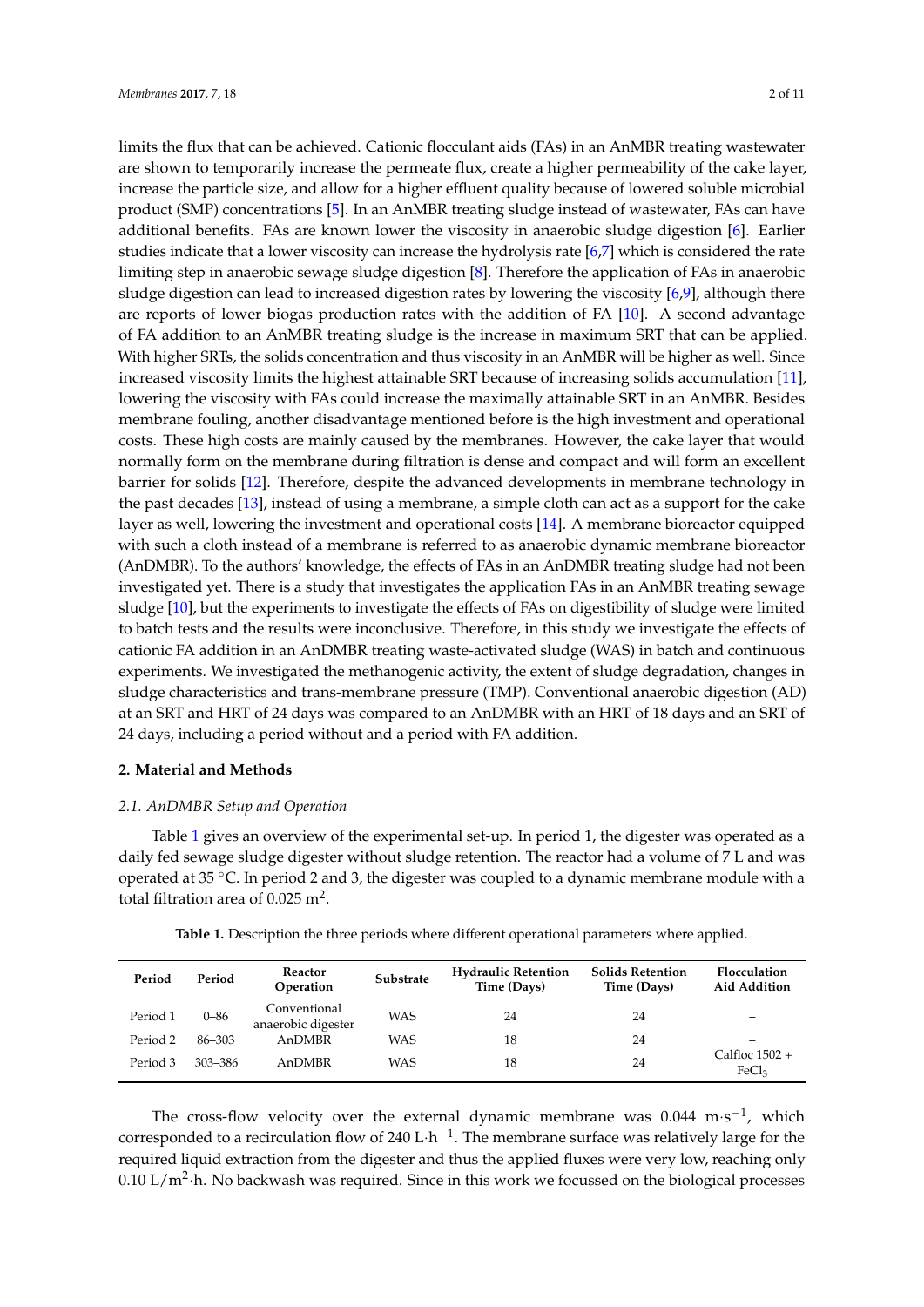limits the flux that can be achieved. Cationic flocculant aids (FAs) in an AnMBR treating wastewater are shown to temporarily increase the permeate flux, create a higher permeability of the cake layer, increase the particle size, and allow for a higher effluent quality because of lowered soluble microbial product (SMP) concentrations [\[5\]](#page-10-4). In an AnMBR treating sludge instead of wastewater, FAs can have additional benefits. FAs are known lower the viscosity in anaerobic sludge digestion [\[6\]](#page-10-5). Earlier studies indicate that a lower viscosity can increase the hydrolysis rate [\[6](#page-10-5)[,7\]](#page-10-6) which is considered the rate limiting step in anaerobic sewage sludge digestion [\[8\]](#page-10-7). Therefore the application of FAs in anaerobic sludge digestion can lead to increased digestion rates by lowering the viscosity [\[6,](#page-10-5)[9\]](#page-10-8), although there are reports of lower biogas production rates with the addition of FA [\[10\]](#page-10-9). A second advantage of FA addition to an AnMBR treating sludge is the increase in maximum SRT that can be applied. With higher SRTs, the solids concentration and thus viscosity in an AnMBR will be higher as well. Since increased viscosity limits the highest attainable SRT because of increasing solids accumulation [\[11\]](#page-10-10), lowering the viscosity with FAs could increase the maximally attainable SRT in an AnMBR. Besides membrane fouling, another disadvantage mentioned before is the high investment and operational costs. These high costs are mainly caused by the membranes. However, the cake layer that would normally form on the membrane during filtration is dense and compact and will form an excellent barrier for solids [\[12\]](#page-10-11). Therefore, despite the advanced developments in membrane technology in the past decades [\[13\]](#page-10-12), instead of using a membrane, a simple cloth can act as a support for the cake layer as well, lowering the investment and operational costs [\[14\]](#page-10-13). A membrane bioreactor equipped with such a cloth instead of a membrane is referred to as anaerobic dynamic membrane bioreactor (AnDMBR). To the authors' knowledge, the effects of FAs in an AnDMBR treating sludge had not been investigated yet. There is a study that investigates the application FAs in an AnMBR treating sewage sludge [\[10\]](#page-10-9), but the experiments to investigate the effects of FAs on digestibility of sludge were limited to batch tests and the results were inconclusive. Therefore, in this study we investigate the effects of cationic FA addition in an AnDMBR treating waste-activated sludge (WAS) in batch and continuous experiments. We investigated the methanogenic activity, the extent of sludge degradation, changes in sludge characteristics and trans-membrane pressure (TMP). Conventional anaerobic digestion (AD) at an SRT and HRT of 24 days was compared to an AnDMBR with an HRT of 18 days and an SRT of 24 days, including a period without and a period with FA addition.

#### **2. Material and Methods**

#### *2.1. AnDMBR Setup and Operation*

Table [1](#page-2-0) gives an overview of the experimental set-up. In period 1, the digester was operated as a daily fed sewage sludge digester without sludge retention. The reactor had a volume of 7 L and was operated at 35 ◦C. In period 2 and 3, the digester was coupled to a dynamic membrane module with a total filtration area of  $0.025$  m<sup>2</sup>.

<span id="page-2-0"></span>

| Period   | Period   | Reactor<br>Operation               | Substrate  | <b>Hydraulic Retention</b><br>Time (Days) | <b>Solids Retention</b><br>Time (Days) | Flocculation<br>Aid Addition          |
|----------|----------|------------------------------------|------------|-------------------------------------------|----------------------------------------|---------------------------------------|
| Period 1 | $0 - 86$ | Conventional<br>anaerobic digester | <b>WAS</b> | 24                                        | 24                                     |                                       |
| Period 2 | 86-303   | AnDMBR                             | <b>WAS</b> | 18                                        | 24                                     |                                       |
| Period 3 | 303-386  | AnDMBR                             | <b>WAS</b> | 18                                        | 24                                     | Calfloc $1502 +$<br>FeCl <sub>3</sub> |

**Table 1.** Description the three periods where different operational parameters where applied.

The cross-flow velocity over the external dynamic membrane was  $0.044 \text{ m} \cdot \text{s}^{-1}$ , which corresponded to a recirculation flow of 240 L·h<sup>-1</sup>. The membrane surface was relatively large for the required liquid extraction from the digester and thus the applied fluxes were very low, reaching only  $0.10$  L/m<sup>2</sup>·h. No backwash was required. Since in this work we focussed on the biological processes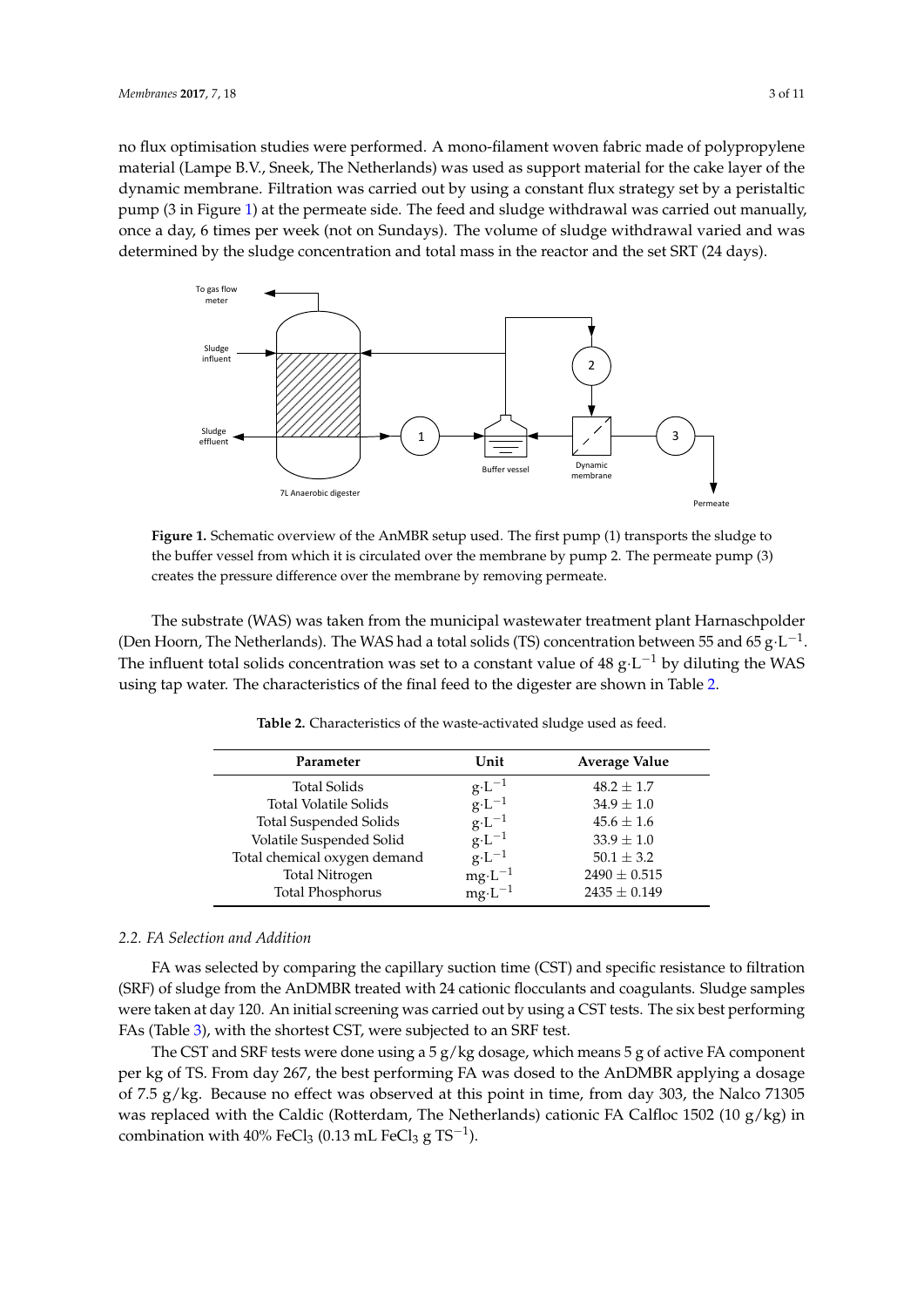no flux optimisation studies were performed. A mono-filament woven fabric made of polypropylene no flux optimisation studies were performed. A mono-filament woven fabric made of polypropylene material (Lampe B.V., Sneek, The Netherlands) was used as support material for the cake layer of the material (Lampe B.V., Sneek, The Netherlands) was used as support material for the cake layer of the dynamic membrane. Filtration was carried out by using a constant flux strategy set by a peristaltic dynamic membrane. Filtration was carried out by using a constant flux strategy set by a peristaltic pump (3 in Figure [1\)](#page-3-0) at the permeate side. The feed and sludge withdrawal was carried out manually, pump (3 in Figure 1) at the permeate side. The feed and sludge withdrawal was carried out manually, once a day, 6 times per week (not on Sundays). The volume of sludge withdrawal varied and was determined by the sludge concentration and total mass in the reactor and the set SRT (24 days). determined by the sludge concentration and total mass in the reactor and the set SRT (24 days). pamp (b are space s) at the permeater per receiver and but all dependent with dependence of sludge with dependence of  $\frac{1}{2}$ 

<span id="page-3-0"></span>

**Figure 1.** Schematic overview of the AnMBR setup used. The first pump (1) transports the sludge to **Figure 1.** Schematic overview of the AnMBR setup used. The first pump (1) transports the sludge to the buffer vessel from which it is circulated over the membrane by pump 2. The permeate pump (3) the buffer vessel from which it is circulated over the membrane by pump 2. The permeate pump (3) creates the pressure difference over the membrane by removing permeate. creates the pressure difference over the membrane by removing permeate.

<span id="page-3-1"></span>The substrate (WAS) was taken from the municipal wastewater treatment plant Harnaschpolder The substrate (WAS) was taken from the municipal wastewater treatment plant Harnaschpolder (Den Hoorn, The Netherlands). The WAS had a total solids (TS) concentration between 55 and 65  $\rm g \cdot L^{-1}$ . (Den Hoorn, The Netherlands). The WAS had a total solids (TS) concentration between 55 and 65 g·L<sup>−1</sup>.<br>The influent total solids concentration was set to a constant value of 48 g·L<sup>−1</sup> by diluting the WAS using tap water. The characteristics of the final feed to the digester are shown i[n T](#page-3-1)able 2.

| Parameter                     | Unit              | <b>Average Value</b> |
|-------------------------------|-------------------|----------------------|
| Total Solids                  | $g \cdot L^{-1}$  | $48.2 \pm 1.7$       |
| <b>Total Volatile Solids</b>  | $g \cdot L^{-1}$  | $34.9 \pm 1.0$       |
| <b>Total Suspended Solids</b> | $g \cdot L^{-1}$  | $45.6 \pm 1.6$       |
| Volatile Suspended Solid      | $g \cdot L^{-1}$  | $33.9 \pm 1.0$       |
| Total chemical oxygen demand  | $g \cdot L^{-1}$  | $50.1 \pm 3.2$       |
| <b>Total Nitrogen</b>         | $mg \cdot L^{-1}$ | $2490 \pm 0.515$     |
| <b>Total Phosphorus</b>       | $mg \cdot L^{-1}$ | $2435 \pm 0.149$     |
|                               |                   |                      |

**Table 2.** Characteristics of the waste-activated sludge used as feed. **Table 2.** Characteristics of the waste-activated sludge used as feed.

## *2.2. FA Selection and Addition 2.2. FA Selection and Addition*

FA was selected by comparing the capillary suction time (CST) and specific resistance to FA was selected by comparing the capillary suction time (CST) and specific resistance to filtration filtration (SRF) of sludge from the AnDMBR treated with 24 cationic flocculants and coagulants. (SRF) of sludge from the AnDMBR treated with 24 cationic flocculants and coagulants. Sludge samples  $S_{\text{S}}$  is taken at day 120. An initial screening was carried out by using a CST tests. The side of a property out were taken at day 120. An initial screening was carried out by using a CST tests. The six best performing<br>EAs (Table 3), with the shortest CCT were subjected to an CPE test FAs (Table [3\)](#page-4-0), with the shortest CST, were subjected to an SRF test.

The CST and SRF tests were done using a 5 g/kg dosage, which means 5 g of active FA component<br>The CST and SRF tests were done using a 5 g/kg dosage, which means 5 g of active FA component of 7.5 g/kg. Because no effect was observed at this point in time, from day 303, the Nalco 71305 was replaced with the Caldic (Rotterdam, The Netherlands) cationic FA Calfloc 1502 (10 g/kg) in  $E_0Cl$ ,  $(0.13 \text{ mJ} \cdot E_0Cl$ ,  $\alpha TS^{-1}$ combination with 40% FeCl<sub>3</sub> (0.13 mL FeCl<sub>3</sub> g TS<sup>−1</sup>). per kg of TS. From day 267, the best performing FA was dosed to the AnDMBR applying a dosage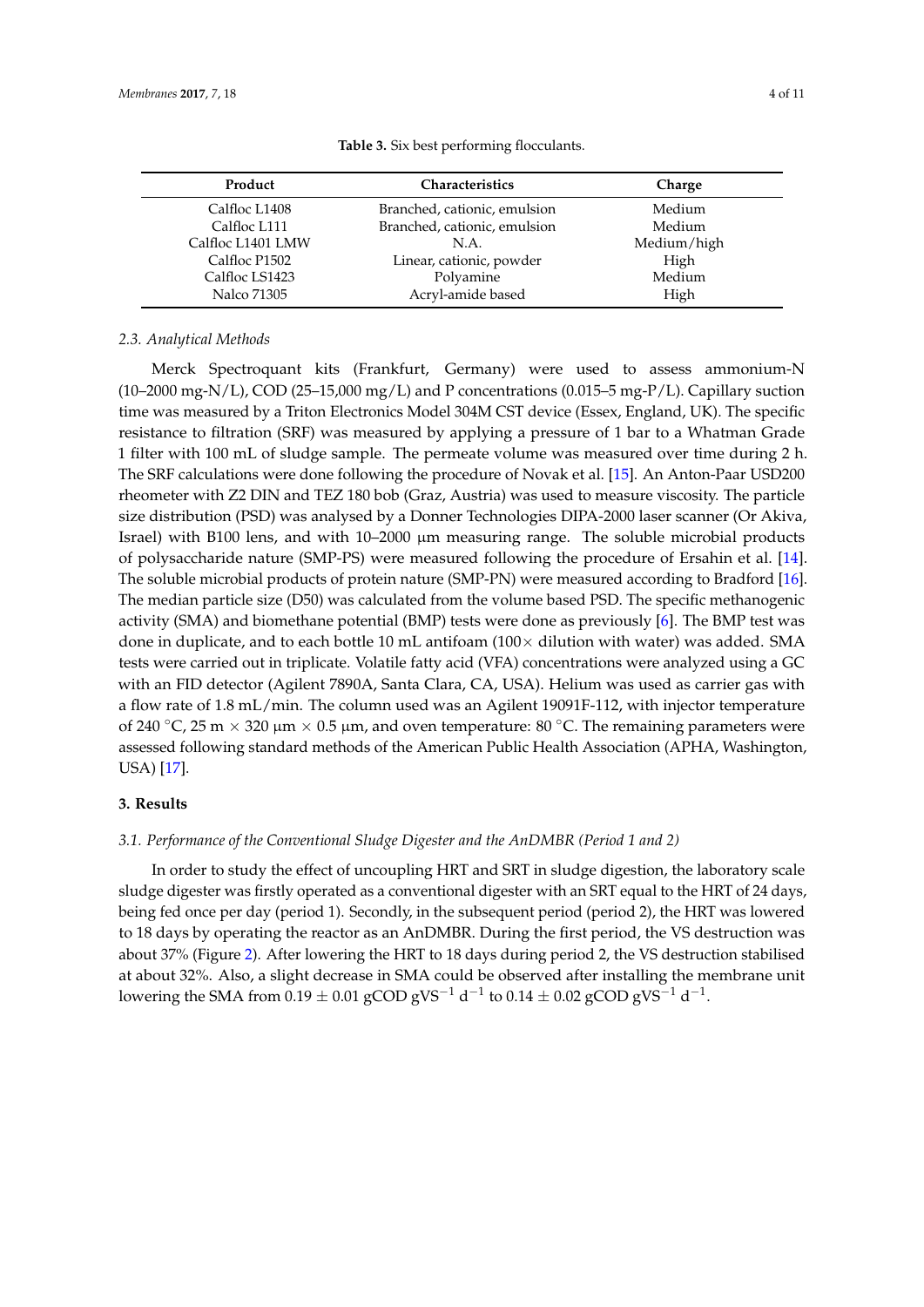<span id="page-4-0"></span>

| Product           | <b>Characteristics</b>       | Charge      |  |
|-------------------|------------------------------|-------------|--|
| Calfloc L1408     | Branched, cationic, emulsion | Medium      |  |
| Calfloc L111      | Branched, cationic, emulsion | Medium      |  |
| Calfloc L1401 LMW | N.A.                         | Medium/high |  |
| Calfloc P1502     | Linear, cationic, powder     | High        |  |
| Calfloc LS1423    | Polyamine                    | Medium      |  |
| Nalco 71305       | Acryl-amide based            | High        |  |

**Table 3.** Six best performing flocculants.

#### *2.3. Analytical Methods*

Merck Spectroquant kits (Frankfurt, Germany) were used to assess ammonium-N  $(10-2000 \text{ mg-N/L})$ , COD  $(25-15,000 \text{ mg/L})$  and P concentrations  $(0.015-5 \text{ mg-P/L})$ . Capillary suction time was measured by a Triton Electronics Model 304M CST device (Essex, England, UK). The specific resistance to filtration (SRF) was measured by applying a pressure of 1 bar to a Whatman Grade 1 filter with 100 mL of sludge sample. The permeate volume was measured over time during 2 h. The SRF calculations were done following the procedure of Novak et al. [\[15\]](#page-10-14). An Anton-Paar USD200 rheometer with Z2 DIN and TEZ 180 bob (Graz, Austria) was used to measure viscosity. The particle size distribution (PSD) was analysed by a Donner Technologies DIPA-2000 laser scanner (Or Akiva, Israel) with B100 lens, and with 10–2000 µm measuring range. The soluble microbial products of polysaccharide nature (SMP-PS) were measured following the procedure of Ersahin et al. [\[14\]](#page-10-13). The soluble microbial products of protein nature (SMP-PN) were measured according to Bradford [\[16\]](#page-10-15). The median particle size (D50) was calculated from the volume based PSD. The specific methanogenic activity (SMA) and biomethane potential (BMP) tests were done as previously [\[6\]](#page-10-5). The BMP test was done in duplicate, and to each bottle 10 mL antifoam  $(100 \times$  dilution with water) was added. SMA tests were carried out in triplicate. Volatile fatty acid (VFA) concentrations were analyzed using a GC with an FID detector (Agilent 7890A, Santa Clara, CA, USA). Helium was used as carrier gas with a flow rate of 1.8 mL/min. The column used was an Agilent 19091F-112, with injector temperature of 240 °C, 25 m  $\times$  320 µm  $\times$  0.5 µm, and oven temperature: 80 °C. The remaining parameters were assessed following standard methods of the American Public Health Association (APHA, Washington, USA) [\[17\]](#page-10-16).

#### **3. Results**

#### *3.1. Performance of the Conventional Sludge Digester and the AnDMBR (Period 1 and 2)*

In order to study the effect of uncoupling HRT and SRT in sludge digestion, the laboratory scale sludge digester was firstly operated as a conventional digester with an SRT equal to the HRT of 24 days, being fed once per day (period 1). Secondly, in the subsequent period (period 2), the HRT was lowered to 18 days by operating the reactor as an AnDMBR. During the first period, the VS destruction was about 37% (Figure [2\)](#page-5-0). After lowering the HRT to 18 days during period 2, the VS destruction stabilised at about 32%. Also, a slight decrease in SMA could be observed after installing the membrane unit lowering the SMA from  $0.19 \pm 0.01$  gCOD gVS $^{-1}$  d $^{-1}$  to  $0.14 \pm 0.02$  gCOD gVS $^{-1}$  d $^{-1}$ .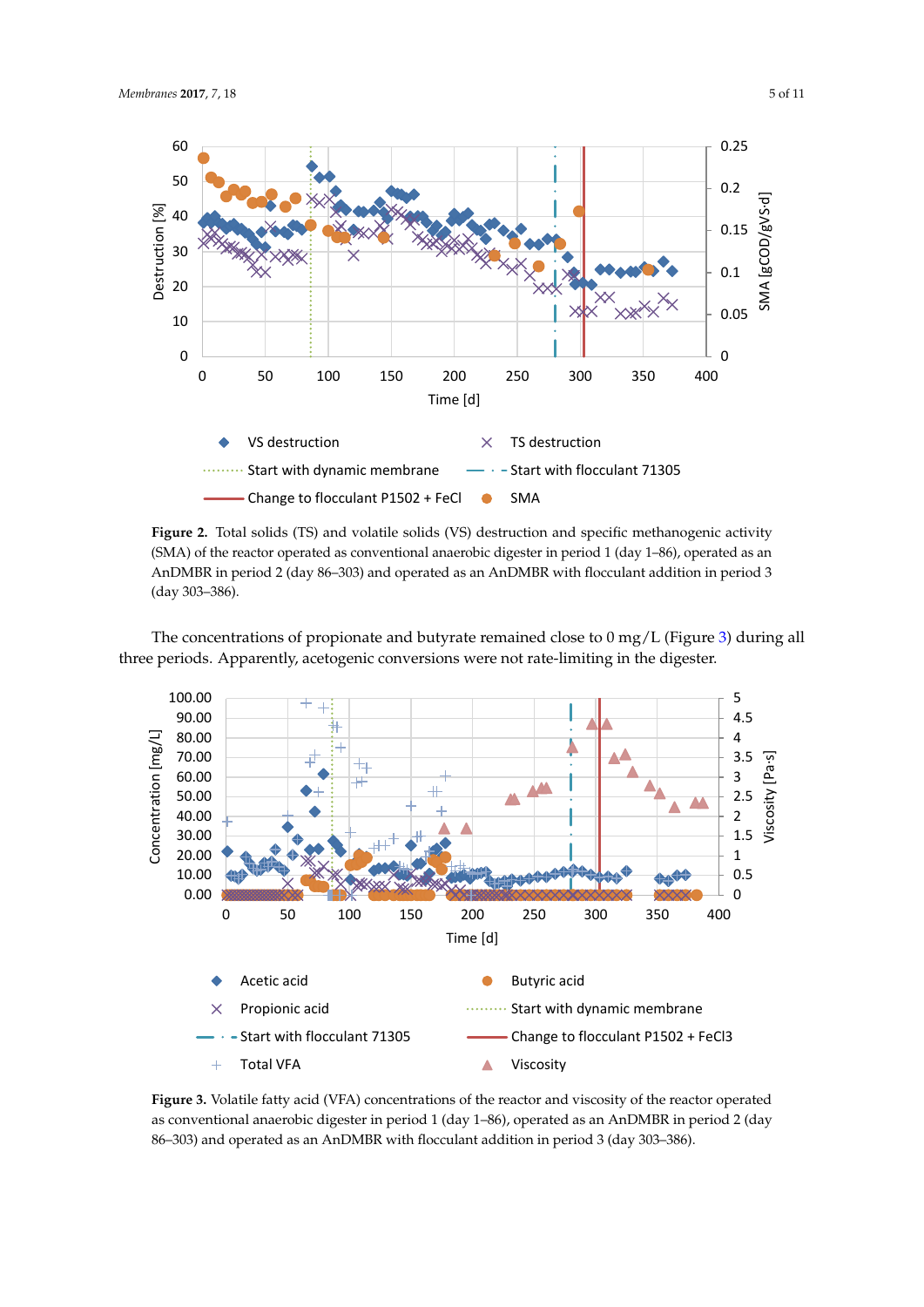<span id="page-5-0"></span>

 $(SMA)$  of the reactor operated as conventional anaerobic digester in period 1 (day 1–86), operated as an AnDMBR in period 2 (day  $86-303$ ) and operated as an AnDMBR with flocculant addition in period 3 an AnDMBR in period 2 (day 86–303) and operated as an AnDMBR with flocculant addition in period (day 303–386). **Figure 2.** Total solids (TS) and volatile solids (VS) destruction and specific methanogenic activity **Figure 2.** Total solids (TS) and volatile solids (VS) destruction and specific methanogenic activity  $(1 - 309 - 386)$ 

<span id="page-5-1"></span>

 $T$  and  $\alpha$  concerned to propionate and butyrate remaining and butyrate remained close to  $\alpha$  mg/L  $\alpha$ three periods. Apparently, acetogenic conversions were not rate-limiting in the digester. three periods. Apparently, acetogenic conversions were not rate-limiting in the digester. The concentrations of propionate and butyrate remained close to  $0 \text{ mg/L}$  (Figure [3\)](#page-5-1) during all

86–303) and operated as an AnDMBR with flocculant addition in period 3 (day 303–386). Figure 3. Volatile fatty acid (VFA) concentrations of the reactor and viscosity of the reactor operated as conventional anaerobic digester in period 1 (day 1–86)*,* operated as an AnDMBR in period 2 (day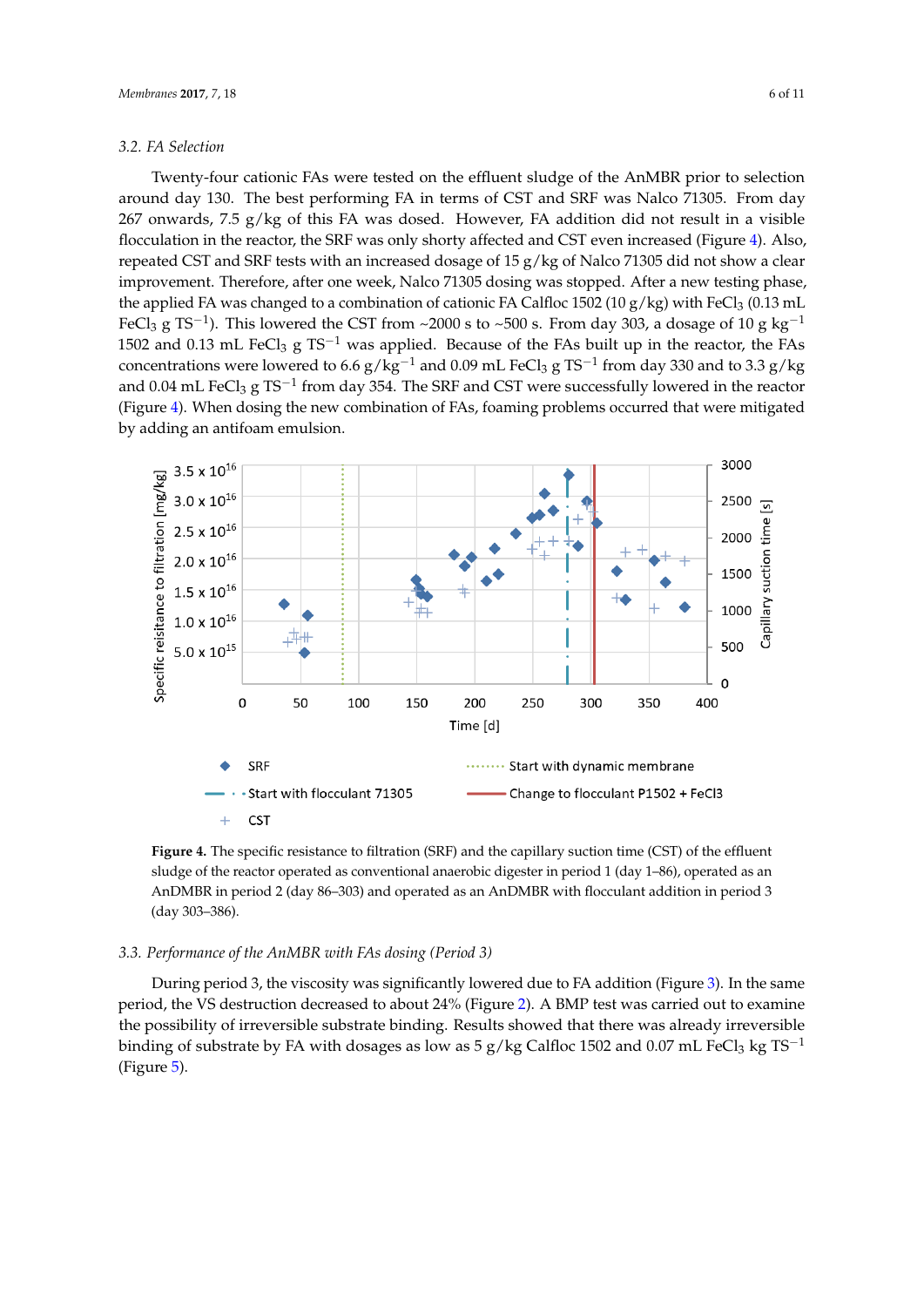#### *3.2. FA Selection 3.2. FA Selection*

Twenty-four cationic FAs were tested on the effluent sludge of the AnMBR prior to selection Twenty-four cationic FAs were tested on the effluent sludge of the AnMBR prior to selection around day 130. The best performing FA in terms of CST and SRF was Nalco 71305. From day around day 130. The best performing FA in terms of CST and SRF was Nalco 71305. From day 267 267 onwards, 7.5  $g/kg$  of this FA was dosed. However, FA addition did not result in a visible flocculation in the [re](#page-6-0)actor, the SRF was only shorty affected and CST even increased (Figure 4). Also, repeated CST and SRF tests with an increased dosage of 15 g/kg of Nalco 71305 did not show a clear CST and SRF tests with an increased dosage of 15 g/kg of Nalco 71305 did not show a clear improvement. Therefore, after one week, Nalco 71305 dosing was stopped. After a new testing phase, improvement. Therefore, after one week, Nalco 71305 dosing was stopped. After a new testing phase, the applied FA was changed to a combination of cationic FA Calfloc 1502 (10 g/kg) with FeCl3 (0.13 mL FeCl<sub>3</sub> g TS<sup>-1</sup>). This lowered the CST from ~2000 s to ~500 s. From day 303, a dosage of 10 g kg<sup>-1</sup> 1502 and 0.13 mL FeCl<sub>3</sub> g TS<sup>-1</sup> was applied. Because of the FAs built up in the reactor, the FAs concentrations were lowered to 6.6  $g/kg^{-1}$  and 0.09 mL FeCl<sub>3</sub> g TS<sup>-1</sup> from day 330 and to 3.3  $g/kg$ and 0.04 mL FeCl<sub>3</sub> g TS<sup>-1</sup> from day 354. The SRF and CST were successfully lowered in the reactor (Figure 4). Wh[en](#page-6-0) dosing the new combination of FAs, foaming problems occurred that were mitigated by adding an antifoam emulsion. adding an antifoam emulsion.

<span id="page-6-0"></span>

Figure 4. The specific resistance to filtration (SRF) and the capillary suction time (CST) of the effluent sludge of the reactor operated as conventional anaerobic digester in period 1 (day 1–86), operated as sludge of the reactor operated as conventional anaerobic digester in period 1 (day 1–86), operated as an an AnDMBR in period 2 (day 86–303) and operated as an AnDMBR with flocculant addition in period AnDMBR in period 2 (day 86–303) and operated as an AnDMBR with flocculant addition in period 3 3 (day 303–386). (day 303–386).

### *3.3. Performance of the AnMBR with FAs dosing (Period 3) 3.3. Performance of the AnMBR with FAs dosing (Period 3)*

During period 3, the viscosity was significantly lowered due to FA addition (Figure 3). In the During period 3, the viscosity was significantly lowered due to FA addition (Figure [3\)](#page-5-1). In the same period, the VS destruction decreased to about 24% (Figure [2\)](#page-5-0). A BMP test was carried out to examine the possibility of irreversible substrate binding. Results showed that there was already irreversible binding of substrate by FA with dosages as low as 5 g/kg Calfloc 1502 and 0.07 mL FeCl<sub>3</sub> kg TS<sup>-1</sup> (Figure  $\overline{5}$ ).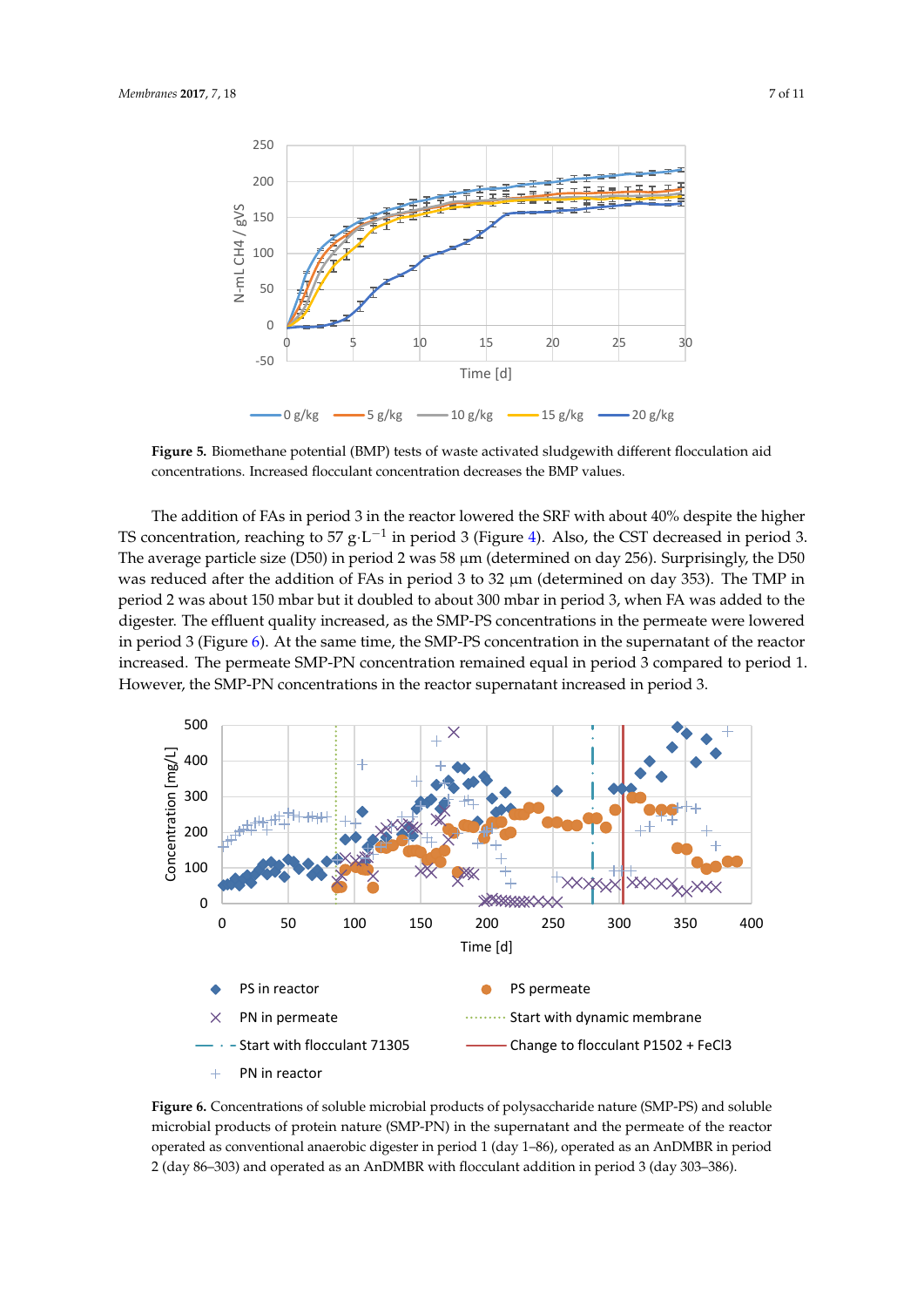<span id="page-7-0"></span>

concentrations. Increased flocculant concentration decreases the BMP values. **Figure 5.** Biomethane potential (BMP) tests of waste activated sludgewith different flocculation aid **Figure 5.** Biomethane potential (BMP) tests of waste activated sludgewith different flocculation aid

TS concentration, reaching to 57 g·L<sup>-1</sup> in period 3 (Figure [4\)](#page-6-0). Also, the CST decreased in period 3. The average particle size (D50) in period 2 was 58  $\mu$ m (determined on day 256). Surprisingly, the D50 was reduced after the addition of FAs in period 3 to 32  $\mu$ m (determined on day 353). The TMP in period 2 was about 150 mbar but it doubled to about 300 mbar in period 3, when FA was added to the digester. The effluent quality increased, as the SMP-PS concentrations in the permeate were lowered in period 3 (Figure [6\)](#page-7-1). At the same time, the SMP-PS concentration in the supernatant of the reactor increased. The permeate SMP-PN concentration remained equal in period 3 compared to period 1.  $\frac{1}{2}$  increases the permeated equal in the person concentration remained to period 3. However, the SMP-PN concentrations in the reactor supernatant increased in period 3. However, the SMP-PN concentrations in the reactor supernatant increased in period 3. The addition of FAs in period 3 in the reactor lowered the SRF with about 40% despite the higher  $T$  addition of  $T$  in period 3 in the reactor lowered the SRF with about 40% despite the higher The addition of 11st in period 3 in the reactor lowered the SNT with about 40% despite the higher  $\frac{1}{2}$  was farting particle size  $\frac{1}{2}$  was  $\frac{1}{2}$  was  $\frac{1}{2}$  was  $\frac{1}{2}$ . Surprisingly, the D50 westermined on  $\frac{1}{2}$ .

<span id="page-7-1"></span>

operated as conventional anaerobic digester in period 1 (day 1-86), operated as an AnDMBR in period 2 (day 86-303) and operated as an AnDMBR with flocculant addition in period 3 (day 303-386). Figure 6. Concentrations of soluble microbial products of polysaccharide nature (SMP-PS) and soluble microbial products of protein nature (SMP-PN) in the supernatant and the permeate of the reactor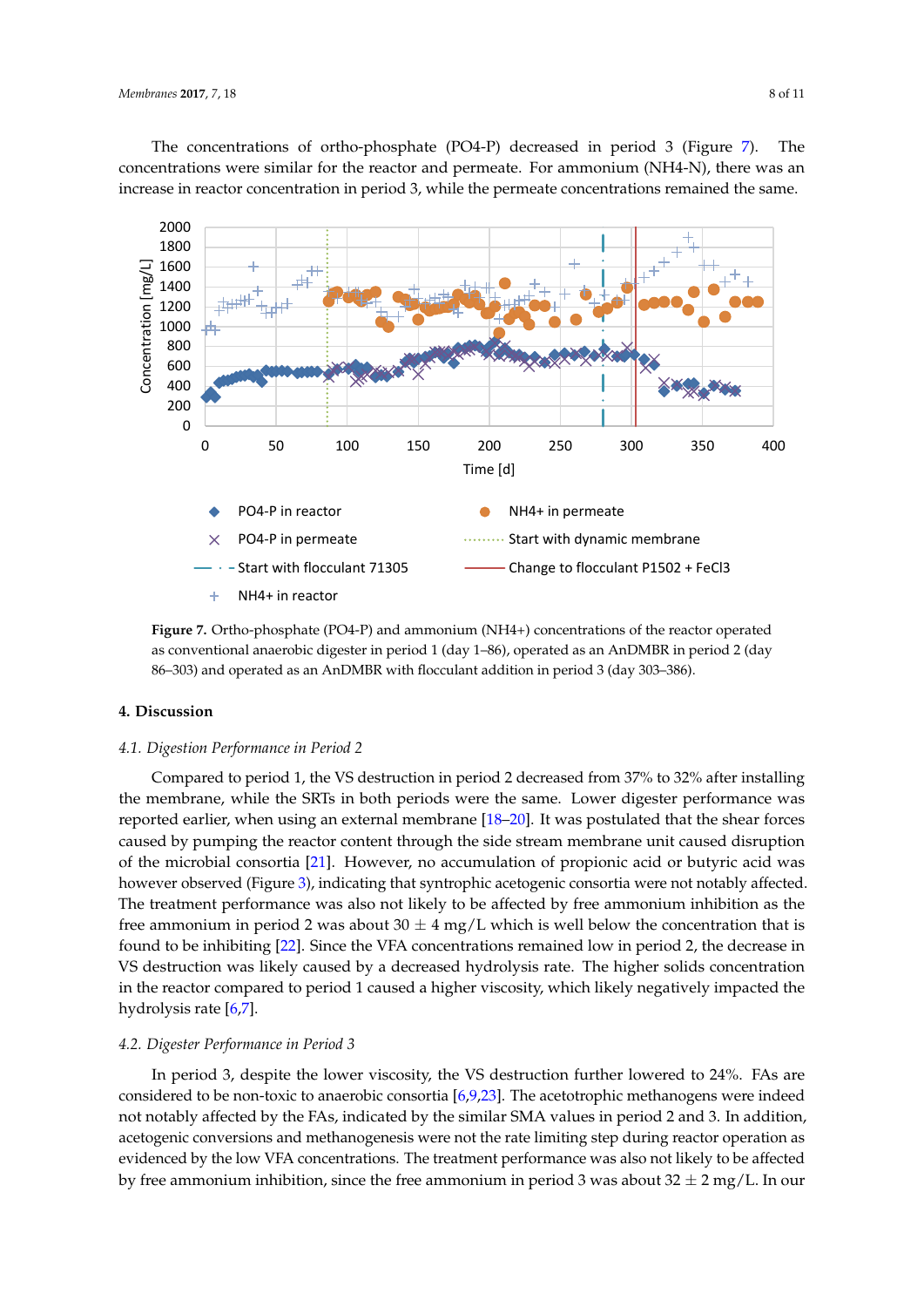Th[e](#page-8-0) concentrations of ortho-phosphate (PO4-P) decreased in period 3 (Figure 7). The concentrations were similar for the reactor and permeate. For ammonium (NH4-N), there was an increase in reactor concentration in period 3, while the permeate concentrations remained the same.

<span id="page-8-0"></span>

as conventional anaerobic digester in period 1 (day 1–86), operated as an AnDMBR in period 2 (day as conventional anaerobic digester in period 1 (day 1–86), operated as an AnDMBR in period 2 (day 86–303) and operated as an AnDMBR with flocculant addition in period 3 (day 303–386). **Figure 7.** Ortho-phosphate (PO4-P) and ammonium (NH4+) concentrations of the reactor operated

#### **4. Discussion**

#### *4.1. Digestion Performance in Period 2*

Compared to period 1, the VS destruction in period 2 decreased from 37% to 32% after installing the membrane, while the SRTs in both periods were the same. Lower digester performance was reported earlier, when using an external membrane  $[18–20]$ . It was postulated that th[e s](#page-10-18)hear forces caused by pumping the reactor content through the side stream membrane unit caused disruption of the microbial consortia [21]. However, no accumulation of propionic acid or butyric acid was however observed (Figure 3), indicating that syntrophic acetogenic consortia were not notably affected. The treatment performance was also not likely to be affected by free ammonium inhibition as the free ammonium in period 2 was about 30  $\pm$  4 mg/L which is well below the concentration that is found to be inhibiting [22]. Since the VFA concentrations remained low i[n p](#page-11-0)eriod 2, the decrease in VS destruction was likely caused by a decreased hydrolysis rate. The higher solids concentration in the reactor compared to period 1 caused a higher viscosity, which likely negatively impacted the  $h$ ydrolysis rate [6,7].

#### *4.2. Digester Performance in Period 3*

In period 3, despite the lower viscosity, the VS destruction further lowered to 24%. FAs are considered to be non-toxic to anaerobic consortia  $[6,9,23]$  $[6,9,23]$  $[6,9,23]$ . The acetotrophic methanogens were indeed not notably affected by the FAs, indicated by the similar SMA values in period 2 and 3. In addition, acetogenic conversions and methanogenesis were not the rate limiting step during reactor operation as evidenced by the low VFA concentrations. The treatment performance was also not likely to be affected by free ammonium inhibition, since the free ammonium in period 3 was about  $32 \pm 2$  mg/L. In our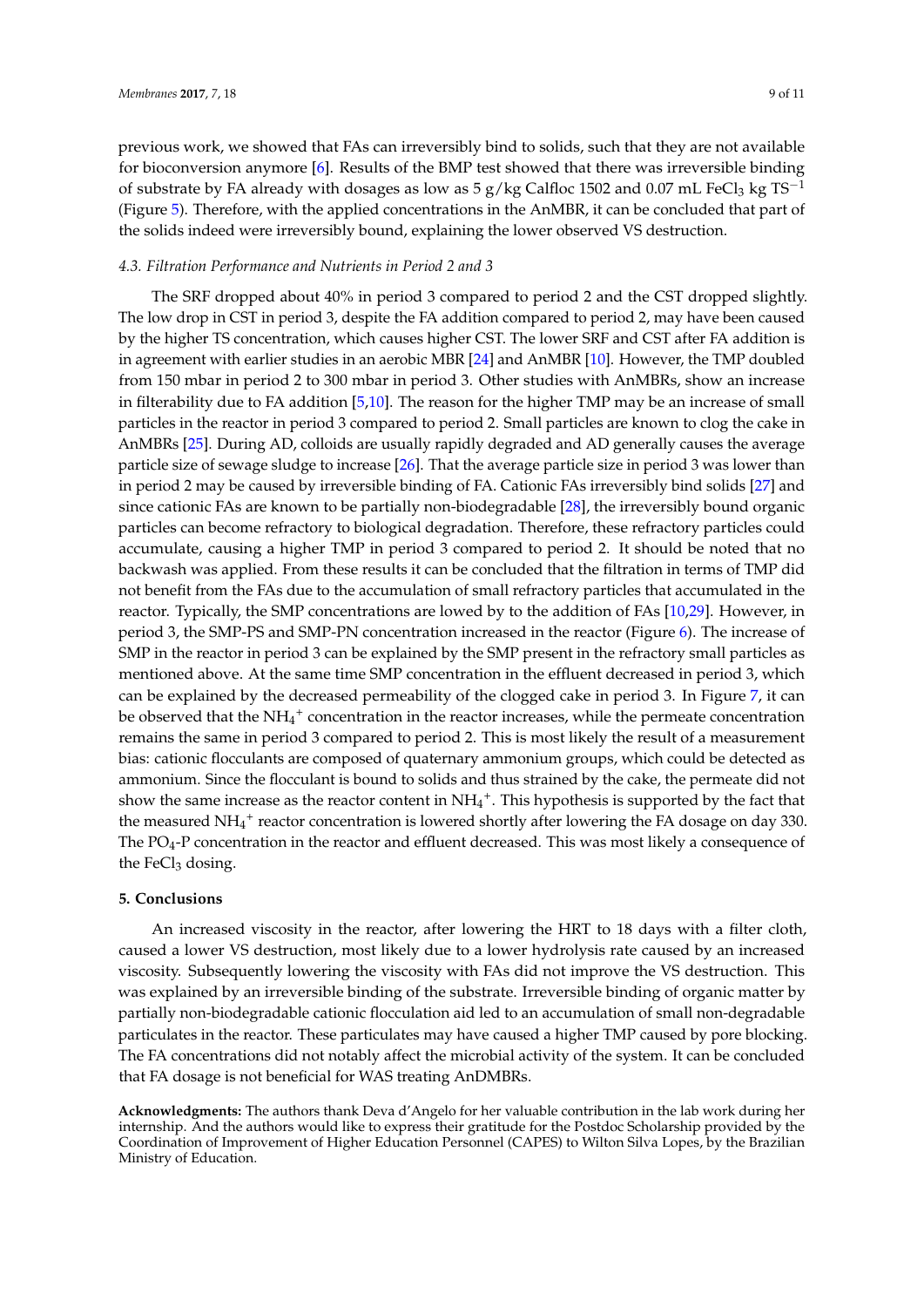previous work, we showed that FAs can irreversibly bind to solids, such that they are not available for bioconversion anymore [\[6\]](#page-10-5). Results of the BMP test showed that there was irreversible binding of substrate by FA already with dosages as low as  $5 g/kg$  Calfloc 1502 and 0.07 mL FeCl<sub>3</sub> kg TS<sup>-1</sup> (Figure [5\)](#page-7-0). Therefore, with the applied concentrations in the AnMBR, it can be concluded that part of the solids indeed were irreversibly bound, explaining the lower observed VS destruction.

#### *4.3. Filtration Performance and Nutrients in Period 2 and 3*

The SRF dropped about 40% in period 3 compared to period 2 and the CST dropped slightly. The low drop in CST in period 3, despite the FA addition compared to period 2, may have been caused by the higher TS concentration, which causes higher CST. The lower SRF and CST after FA addition is in agreement with earlier studies in an aerobic MBR [\[24\]](#page-11-2) and AnMBR [\[10\]](#page-10-9). However, the TMP doubled from 150 mbar in period 2 to 300 mbar in period 3. Other studies with AnMBRs, show an increase in filterability due to FA addition [\[5,](#page-10-4)[10\]](#page-10-9). The reason for the higher TMP may be an increase of small particles in the reactor in period 3 compared to period 2. Small particles are known to clog the cake in AnMBRs [\[25\]](#page-11-3). During AD, colloids are usually rapidly degraded and AD generally causes the average particle size of sewage sludge to increase [\[26\]](#page-11-4). That the average particle size in period 3 was lower than in period 2 may be caused by irreversible binding of FA. Cationic FAs irreversibly bind solids [\[27\]](#page-11-5) and since cationic FAs are known to be partially non-biodegradable [\[28\]](#page-11-6), the irreversibly bound organic particles can become refractory to biological degradation. Therefore, these refractory particles could accumulate, causing a higher TMP in period 3 compared to period 2. It should be noted that no backwash was applied. From these results it can be concluded that the filtration in terms of TMP did not benefit from the FAs due to the accumulation of small refractory particles that accumulated in the reactor. Typically, the SMP concentrations are lowed by to the addition of FAs [\[10,](#page-10-9)[29\]](#page-11-7). However, in period 3, the SMP-PS and SMP-PN concentration increased in the reactor (Figure [6\)](#page-7-1). The increase of SMP in the reactor in period 3 can be explained by the SMP present in the refractory small particles as mentioned above. At the same time SMP concentration in the effluent decreased in period 3, which can be explained by the decreased permeability of the clogged cake in period 3. In Figure [7,](#page-8-0) it can be observed that the  $NH_4^+$  concentration in the reactor increases, while the permeate concentration remains the same in period 3 compared to period 2. This is most likely the result of a measurement bias: cationic flocculants are composed of quaternary ammonium groups, which could be detected as ammonium. Since the flocculant is bound to solids and thus strained by the cake, the permeate did not show the same increase as the reactor content in  $NH_4^+$ . This hypothesis is supported by the fact that the measured NH<sub>4</sub><sup>+</sup> reactor concentration is lowered shortly after lowering the FA dosage on day 330. The PO4-P concentration in the reactor and effluent decreased. This was most likely a consequence of the FeCl<sub>3</sub> dosing.

#### **5. Conclusions**

An increased viscosity in the reactor, after lowering the HRT to 18 days with a filter cloth, caused a lower VS destruction, most likely due to a lower hydrolysis rate caused by an increased viscosity. Subsequently lowering the viscosity with FAs did not improve the VS destruction. This was explained by an irreversible binding of the substrate. Irreversible binding of organic matter by partially non-biodegradable cationic flocculation aid led to an accumulation of small non-degradable particulates in the reactor. These particulates may have caused a higher TMP caused by pore blocking. The FA concentrations did not notably affect the microbial activity of the system. It can be concluded that FA dosage is not beneficial for WAS treating AnDMBRs.

**Acknowledgments:** The authors thank Deva d'Angelo for her valuable contribution in the lab work during her internship. And the authors would like to express their gratitude for the Postdoc Scholarship provided by the Coordination of Improvement of Higher Education Personnel (CAPES) to Wilton Silva Lopes, by the Brazilian Ministry of Education.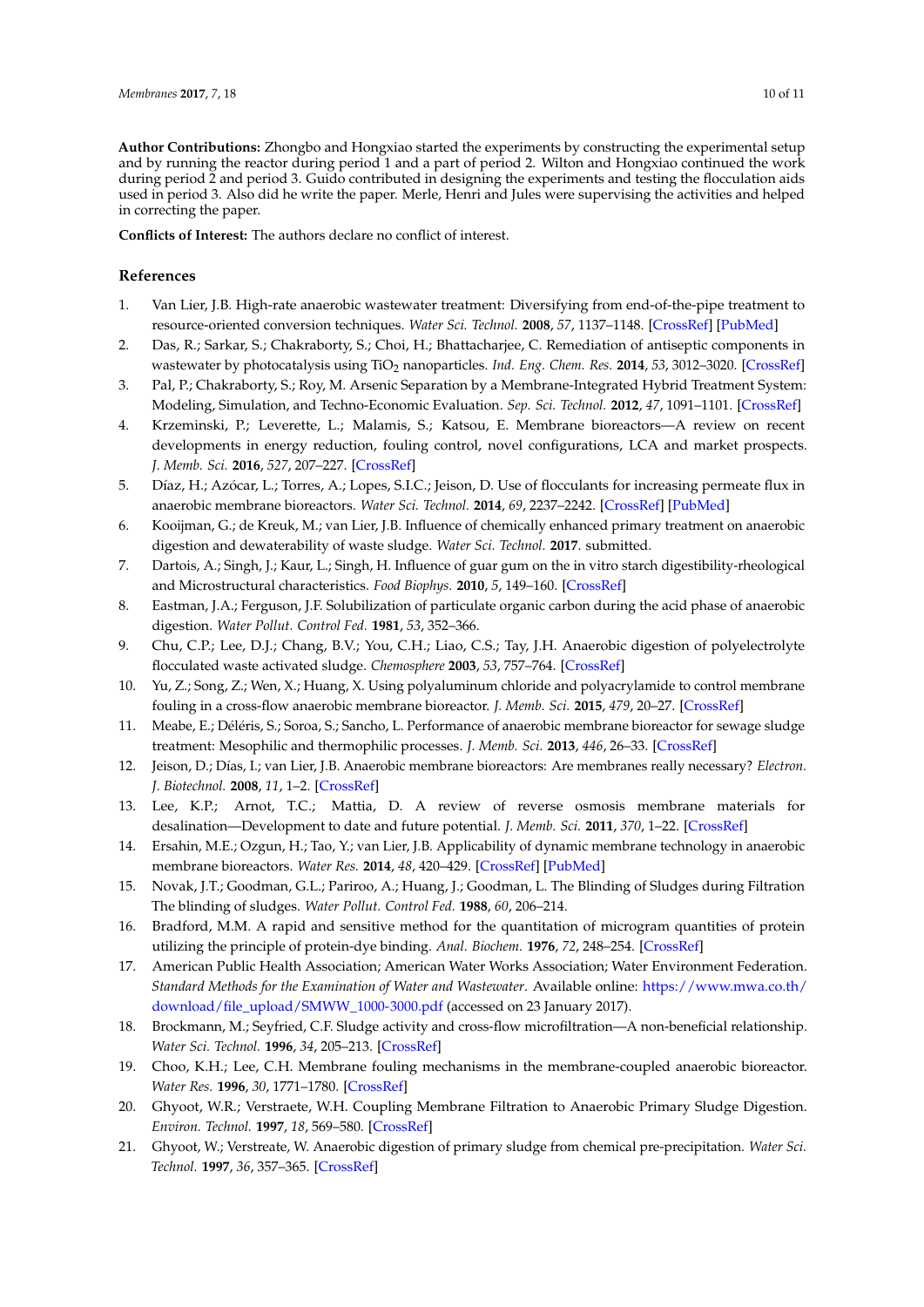**Author Contributions:** Zhongbo and Hongxiao started the experiments by constructing the experimental setup and by running the reactor during period 1 and a part of period 2. Wilton and Hongxiao continued the work during period 2 and period 3. Guido contributed in designing the experiments and testing the flocculation aids used in period 3. Also did he write the paper. Merle, Henri and Jules were supervising the activities and helped in correcting the paper.

**Conflicts of Interest:** The authors declare no conflict of interest.

#### **References**

- <span id="page-10-0"></span>1. Van Lier, J.B. High-rate anaerobic wastewater treatment: Diversifying from end-of-the-pipe treatment to resource-oriented conversion techniques. *Water Sci. Technol.* **2008**, *57*, 1137–1148. [\[CrossRef\]](http://dx.doi.org/10.2166/wst.2008.040) [\[PubMed\]](http://www.ncbi.nlm.nih.gov/pubmed/18469383)
- <span id="page-10-1"></span>2. Das, R.; Sarkar, S.; Chakraborty, S.; Choi, H.; Bhattacharjee, C. Remediation of antiseptic components in wastewater by photocatalysis using TiO<sub>2</sub> nanoparticles. *Ind. Eng. Chem. Res.* 2014, 53, 3012-3020. [\[CrossRef\]](http://dx.doi.org/10.1021/ie403817z)
- <span id="page-10-2"></span>3. Pal, P.; Chakraborty, S.; Roy, M. Arsenic Separation by a Membrane-Integrated Hybrid Treatment System: Modeling, Simulation, and Techno-Economic Evaluation. *Sep. Sci. Technol.* **2012**, *47*, 1091–1101. [\[CrossRef\]](http://dx.doi.org/10.1080/01496395.2011.652754)
- <span id="page-10-3"></span>4. Krzeminski, P.; Leverette, L.; Malamis, S.; Katsou, E. Membrane bioreactors—A review on recent developments in energy reduction, fouling control, novel configurations, LCA and market prospects. *J. Memb. Sci.* **2016**, *527*, 207–227. [\[CrossRef\]](http://dx.doi.org/10.1016/j.memsci.2016.12.010)
- <span id="page-10-4"></span>5. Díaz, H.; Azócar, L.; Torres, A.; Lopes, S.I.C.; Jeison, D. Use of flocculants for increasing permeate flux in anaerobic membrane bioreactors. *Water Sci. Technol.* **2014**, *69*, 2237–2242. [\[CrossRef\]](http://dx.doi.org/10.2166/wst.2014.153) [\[PubMed\]](http://www.ncbi.nlm.nih.gov/pubmed/24901617)
- <span id="page-10-5"></span>6. Kooijman, G.; de Kreuk, M.; van Lier, J.B. Influence of chemically enhanced primary treatment on anaerobic digestion and dewaterability of waste sludge. *Water Sci. Technol.* **2017**. submitted.
- <span id="page-10-6"></span>7. Dartois, A.; Singh, J.; Kaur, L.; Singh, H. Influence of guar gum on the in vitro starch digestibility-rheological and Microstructural characteristics. *Food Biophys.* **2010**, *5*, 149–160. [\[CrossRef\]](http://dx.doi.org/10.1007/s11483-010-9155-2)
- <span id="page-10-7"></span>8. Eastman, J.A.; Ferguson, J.F. Solubilization of particulate organic carbon during the acid phase of anaerobic digestion. *Water Pollut. Control Fed.* **1981**, *53*, 352–366.
- <span id="page-10-8"></span>9. Chu, C.P.; Lee, D.J.; Chang, B.V.; You, C.H.; Liao, C.S.; Tay, J.H. Anaerobic digestion of polyelectrolyte flocculated waste activated sludge. *Chemosphere* **2003**, *53*, 757–764. [\[CrossRef\]](http://dx.doi.org/10.1016/S0045-6535(03)00553-8)
- <span id="page-10-9"></span>10. Yu, Z.; Song, Z.; Wen, X.; Huang, X. Using polyaluminum chloride and polyacrylamide to control membrane fouling in a cross-flow anaerobic membrane bioreactor. *J. Memb. Sci.* **2015**, *479*, 20–27. [\[CrossRef\]](http://dx.doi.org/10.1016/j.memsci.2015.01.016)
- <span id="page-10-10"></span>11. Meabe, E.; Déléris, S.; Soroa, S.; Sancho, L. Performance of anaerobic membrane bioreactor for sewage sludge treatment: Mesophilic and thermophilic processes. *J. Memb. Sci.* **2013**, *446*, 26–33. [\[CrossRef\]](http://dx.doi.org/10.1016/j.memsci.2013.06.018)
- <span id="page-10-11"></span>12. Jeison, D.; Días, I.; van Lier, J.B. Anaerobic membrane bioreactors: Are membranes really necessary? *Electron. J. Biotechnol.* **2008**, *11*, 1–2. [\[CrossRef\]](http://dx.doi.org/10.2225/vol11-issue4-fulltext-9)
- <span id="page-10-12"></span>13. Lee, K.P.; Arnot, T.C.; Mattia, D. A review of reverse osmosis membrane materials for desalination—Development to date and future potential. *J. Memb. Sci.* **2011**, *370*, 1–22. [\[CrossRef\]](http://dx.doi.org/10.1016/j.memsci.2010.12.036)
- <span id="page-10-13"></span>14. Ersahin, M.E.; Ozgun, H.; Tao, Y.; van Lier, J.B. Applicability of dynamic membrane technology in anaerobic membrane bioreactors. *Water Res.* **2014**, *48*, 420–429. [\[CrossRef\]](http://dx.doi.org/10.1016/j.watres.2013.09.054) [\[PubMed\]](http://www.ncbi.nlm.nih.gov/pubmed/24156951)
- <span id="page-10-14"></span>15. Novak, J.T.; Goodman, G.L.; Pariroo, A.; Huang, J.; Goodman, L. The Blinding of Sludges during Filtration The blinding of sludges. *Water Pollut. Control Fed.* **1988**, *60*, 206–214.
- <span id="page-10-15"></span>16. Bradford, M.M. A rapid and sensitive method for the quantitation of microgram quantities of protein utilizing the principle of protein-dye binding. *Anal. Biochem.* **1976**, *72*, 248–254. [\[CrossRef\]](http://dx.doi.org/10.1016/0003-2697(76)90527-3)
- <span id="page-10-16"></span>17. American Public Health Association; American Water Works Association; Water Environment Federation. *Standard Methods for the Examination of Water and Wastewater*. Available online: [https://www.mwa.co.th/](https://www.mwa.co.th/download/file_upload/SMWW_1000-3000.pdf) [download/file\\_upload/SMWW\\_1000-3000.pdf](https://www.mwa.co.th/download/file_upload/SMWW_1000-3000.pdf) (accessed on 23 January 2017).
- <span id="page-10-17"></span>18. Brockmann, M.; Seyfried, C.F. Sludge activity and cross-flow microfiltration—A non-beneficial relationship. *Water Sci. Technol.* **1996**, *34*, 205–213. [\[CrossRef\]](http://dx.doi.org/10.1016/S0273-1223(96)00806-2)
- 19. Choo, K.H.; Lee, C.H. Membrane fouling mechanisms in the membrane-coupled anaerobic bioreactor. *Water Res.* **1996**, *30*, 1771–1780. [\[CrossRef\]](http://dx.doi.org/10.1016/0043-1354(96)00053-X)
- <span id="page-10-18"></span>20. Ghyoot, W.R.; Verstraete, W.H. Coupling Membrane Filtration to Anaerobic Primary Sludge Digestion. *Environ. Technol.* **1997**, *18*, 569–580. [\[CrossRef\]](http://dx.doi.org/10.1080/09593331808616575)
- <span id="page-10-19"></span>21. Ghyoot, W.; Verstreate, W. Anaerobic digestion of primary sludge from chemical pre-precipitation. *Water Sci. Technol.* **1997**, *36*, 357–365. [\[CrossRef\]](http://dx.doi.org/10.1016/S0273-1223(97)00543-X)